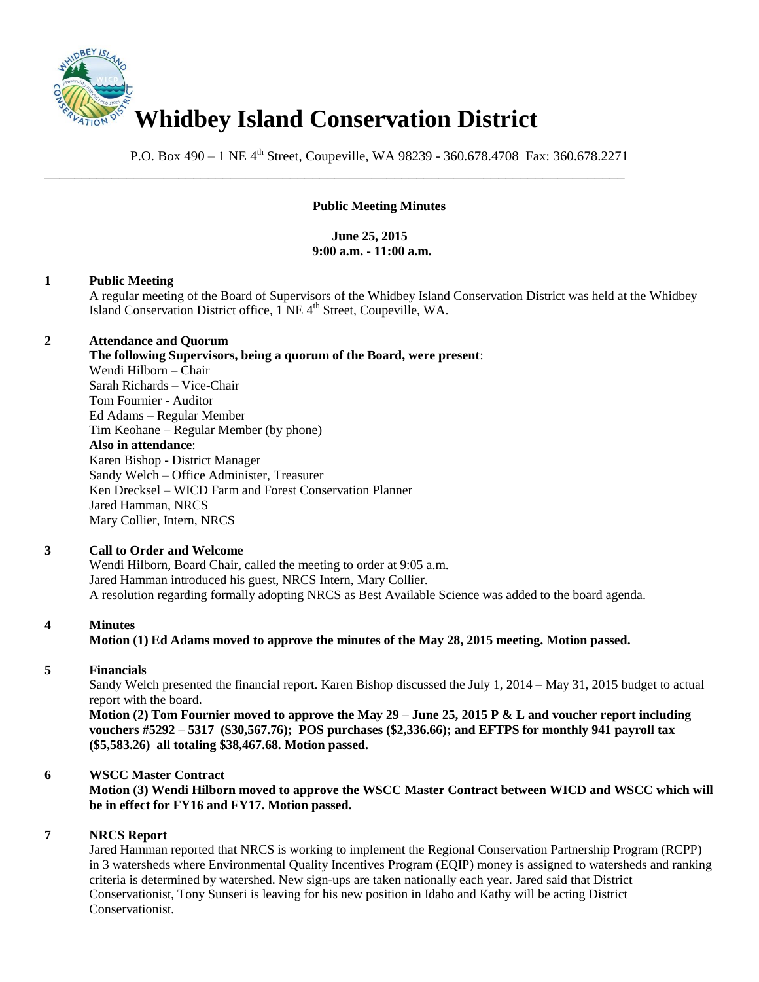

P.O. Box 490 – 1 NE 4<sup>th</sup> Street, Coupeville, WA 98239 - 360.678.4708 Fax: 360.678.2271

\_\_\_\_\_\_\_\_\_\_\_\_\_\_\_\_\_\_\_\_\_\_\_\_\_\_\_\_\_\_\_\_\_\_\_\_\_\_\_\_\_\_\_\_\_\_\_\_\_\_\_\_\_\_\_\_\_\_\_\_\_\_\_\_\_\_\_\_\_\_\_\_\_\_\_\_\_\_

# **Public Meeting Minutes**

 **June 25, 2015 9:00 a.m. - 11:00 a.m.** 

# **1 Public Meeting**

A regular meeting of the Board of Supervisors of the Whidbey Island Conservation District was held at the Whidbey Island Conservation District office, 1 NE 4<sup>th</sup> Street, Coupeville, WA.

# **2 Attendance and Quorum**

**The following Supervisors, being a quorum of the Board, were present**: Wendi Hilborn – Chair Sarah Richards – Vice-Chair Tom Fournier - Auditor Ed Adams – Regular Member Tim Keohane – Regular Member (by phone) **Also in attendance**: Karen Bishop - District Manager Sandy Welch – Office Administer, Treasurer

Ken Drecksel – WICD Farm and Forest Conservation Planner Jared Hamman, NRCS Mary Collier, Intern, NRCS

### **3 Call to Order and Welcome**

Wendi Hilborn, Board Chair, called the meeting to order at 9:05 a.m. Jared Hamman introduced his guest, NRCS Intern, Mary Collier. A resolution regarding formally adopting NRCS as Best Available Science was added to the board agenda.

# **4 Minutes**

# **Motion (1) Ed Adams moved to approve the minutes of the May 28, 2015 meeting. Motion passed.**

# **5 Financials**

Sandy Welch presented the financial report. Karen Bishop discussed the July 1, 2014 – May 31, 2015 budget to actual report with the board.

**Motion (2) Tom Fournier moved to approve the May 29 – June 25, 2015 P & L and voucher report including vouchers #5292 – 5317 (\$30,567.76); POS purchases (\$2,336.66); and EFTPS for monthly 941 payroll tax (\$5,583.26) all totaling \$38,467.68. Motion passed.**

# **6 WSCC Master Contract**

**Motion (3) Wendi Hilborn moved to approve the WSCC Master Contract between WICD and WSCC which will be in effect for FY16 and FY17. Motion passed.** 

# **7 NRCS Report**

Jared Hamman reported that NRCS is working to implement the Regional Conservation Partnership Program (RCPP) in 3 watersheds where Environmental Quality Incentives Program (EQIP) money is assigned to watersheds and ranking criteria is determined by watershed. New sign-ups are taken nationally each year. Jared said that District Conservationist, Tony Sunseri is leaving for his new position in Idaho and Kathy will be acting District Conservationist.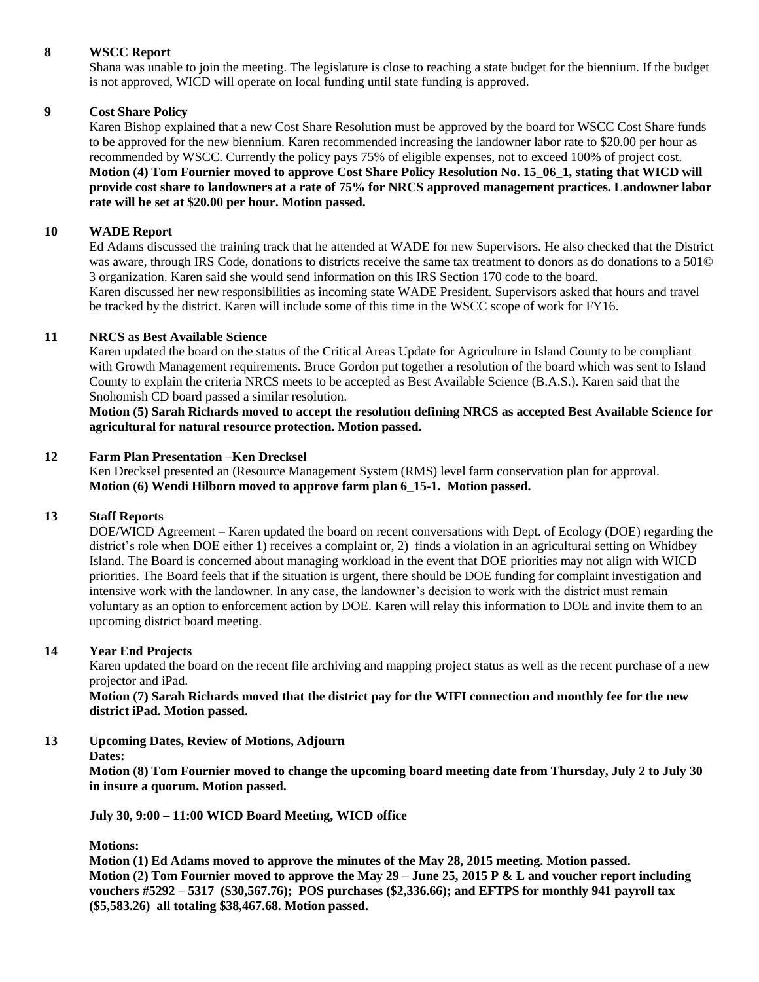# **8 WSCC Report**

Shana was unable to join the meeting. The legislature is close to reaching a state budget for the biennium. If the budget is not approved, WICD will operate on local funding until state funding is approved.

### **9 Cost Share Policy**

Karen Bishop explained that a new Cost Share Resolution must be approved by the board for WSCC Cost Share funds to be approved for the new biennium. Karen recommended increasing the landowner labor rate to \$20.00 per hour as recommended by WSCC. Currently the policy pays 75% of eligible expenses, not to exceed 100% of project cost. **Motion (4) Tom Fournier moved to approve Cost Share Policy Resolution No. 15\_06\_1, stating that WICD will provide cost share to landowners at a rate of 75% for NRCS approved management practices. Landowner labor rate will be set at \$20.00 per hour. Motion passed.**

### **10 WADE Report**

Ed Adams discussed the training track that he attended at WADE for new Supervisors. He also checked that the District was aware, through IRS Code, donations to districts receive the same tax treatment to donors as do donations to a 501© 3 organization. Karen said she would send information on this IRS Section 170 code to the board. Karen discussed her new responsibilities as incoming state WADE President. Supervisors asked that hours and travel be tracked by the district. Karen will include some of this time in the WSCC scope of work for FY16.

### **11 NRCS as Best Available Science**

Karen updated the board on the status of the Critical Areas Update for Agriculture in Island County to be compliant with Growth Management requirements. Bruce Gordon put together a resolution of the board which was sent to Island County to explain the criteria NRCS meets to be accepted as Best Available Science (B.A.S.). Karen said that the Snohomish CD board passed a similar resolution.

**Motion (5) Sarah Richards moved to accept the resolution defining NRCS as accepted Best Available Science for agricultural for natural resource protection. Motion passed.** 

# **12 Farm Plan Presentation –Ken Drecksel**

Ken Drecksel presented an (Resource Management System (RMS) level farm conservation plan for approval. **Motion (6) Wendi Hilborn moved to approve farm plan 6\_15-1. Motion passed.** 

# **13 Staff Reports**

DOE/WICD Agreement – Karen updated the board on recent conversations with Dept. of Ecology (DOE) regarding the district's role when DOE either 1) receives a complaint or, 2) finds a violation in an agricultural setting on Whidbey Island. The Board is concerned about managing workload in the event that DOE priorities may not align with WICD priorities. The Board feels that if the situation is urgent, there should be DOE funding for complaint investigation and intensive work with the landowner. In any case, the landowner's decision to work with the district must remain voluntary as an option to enforcement action by DOE. Karen will relay this information to DOE and invite them to an upcoming district board meeting.

### **14 Year End Projects**

Karen updated the board on the recent file archiving and mapping project status as well as the recent purchase of a new projector and iPad.

**Motion (7) Sarah Richards moved that the district pay for the WIFI connection and monthly fee for the new district iPad. Motion passed.** 

### **13 Upcoming Dates, Review of Motions, Adjourn**

#### **Dates:**

**Motion (8) Tom Fournier moved to change the upcoming board meeting date from Thursday, July 2 to July 30 in insure a quorum. Motion passed.** 

### **July 30, 9:00 – 11:00 WICD Board Meeting, WICD office**

**Motions:**

**Motion (1) Ed Adams moved to approve the minutes of the May 28, 2015 meeting. Motion passed. Motion (2) Tom Fournier moved to approve the May 29 – June 25, 2015 P & L and voucher report including vouchers #5292 – 5317 (\$30,567.76); POS purchases (\$2,336.66); and EFTPS for monthly 941 payroll tax (\$5,583.26) all totaling \$38,467.68. Motion passed.**